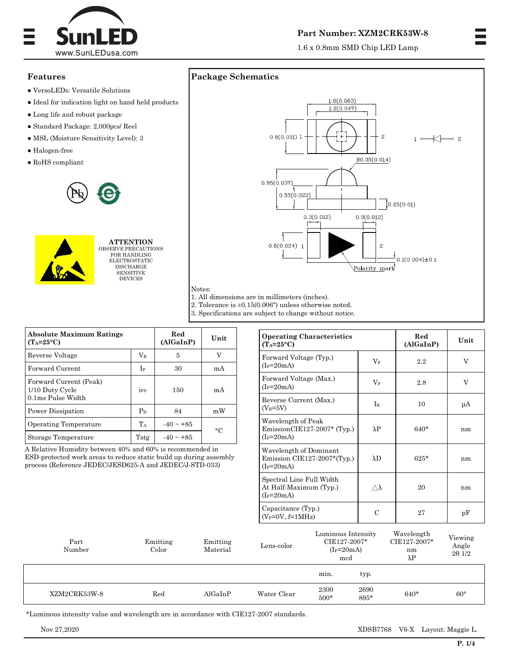

#### **Part Number: XZM2CRK53W-8**

1.6 x 0.8mm SMD Chip LED Lamp

#### **Features**

- VersoLEDs: Versatile Solutions
- Ideal for indication light on hand held products
- Long life and robust package
- Standard Package: 2,000pcs/ Reel
- MSL (Moisture Sensitivity Level): 3
- Halogen-free
- RoHS compliant





**ATTENTION** OBSERVE PRECAUTIONS FOR HANDLING ELECTROSTATIC DISCHARGE **SENSITIVE** DEVICES





2. Tolerance is  $\pm 0.15(0.006)$  unless otherwise noted.

Notes:

3. Specifications are subject to change without notice.

| <b>Absolute Maximum Ratings</b><br>$(T_A=25^{\circ}C)$         |            | Red<br>(AlGaInP) | Unit      |  |
|----------------------------------------------------------------|------------|------------------|-----------|--|
| Reverse Voltage                                                | $\rm V_R$  | 5                | V         |  |
| Forward Current                                                | If         | 30               | mA        |  |
| Forward Current (Peak)<br>1/10 Duty Cycle<br>0.1ms Pulse Width | <b>iFS</b> | 150              | mA        |  |
| Power Dissipation                                              | $P_D$      | 84               | mW        |  |
| Operating Temperature                                          | $T_A$      | $-40 \sim +85$   | $\circ$ C |  |
| Storage Temperature                                            | Tstg       | $-40 \sim +85$   |           |  |

A Relative Humidity between 40% and 60% is recommended in ESD-protected work areas to reduce static build up during assembly process (Reference JEDEC/JESD625-A and JEDEC/J-STD-033)

| <b>Operating Characteristics</b><br>$(T_A=25^{\circ}C)$               |                 | Red<br>(AlGaInP) | Unit |
|-----------------------------------------------------------------------|-----------------|------------------|------|
| Forward Voltage (Typ.)<br>$(I_F=20mA)$                                | $\rm V_F$       | 2.2              | V    |
| Forward Voltage (Max.)<br>$(I_F=20mA)$                                | $V_F$           | 2.8              | V    |
| Reverse Current (Max.)<br>$(V_R = 5V)$                                | $I_{R}$         | 10               | μA   |
| Wavelength of Peak<br>$EmissionCIE127-2007*$ (Typ.)<br>$(I_F=20mA)$   | $\lambda P$     | $640*$           | nm   |
| Wavelength of Dominant<br>Emission CIE127-2007*(Typ.)<br>$(I_F=20mA)$ | $\lambda$ D     | $625*$           | nm   |
| Spectral Line Full Width<br>At Half-Maximum (Typ.)<br>$(I_F=20mA)$    | $\wedge\lambda$ | 20               | nm   |
| Capacitance (Typ.)<br>$(V_F=0V, f=1MHz)$                              | $\mathcal{C}$   | 27               | pF   |

| Part<br>Number | Emitting<br>$_{\rm Color}$ | Emitting<br>Material | $\rm Lens\text{-}color$ | Luminous Intensity<br>CIE127-2007*<br>$(I_F=20mA)$<br>mcd |              | Wavelength<br>CIE127-2007*<br>nm<br>$\lambda$ P | Viewing<br>Angle<br>$2\theta$ 1/2 |
|----------------|----------------------------|----------------------|-------------------------|-----------------------------------------------------------|--------------|-------------------------------------------------|-----------------------------------|
|                |                            |                      |                         | min.                                                      | typ.         |                                                 |                                   |
| XZM2CRK53W-8   | Red                        | AlGaInP              | Water Clear             | 2300<br>$500*$                                            | 2690<br>895* | $640*$                                          | $60^{\circ}$                      |

\*Luminous intensity value and wavelength are in accordance with CIE127-2007 standards.

Nov 27,2020 XDSB7768 V6-X Layout: Maggie L.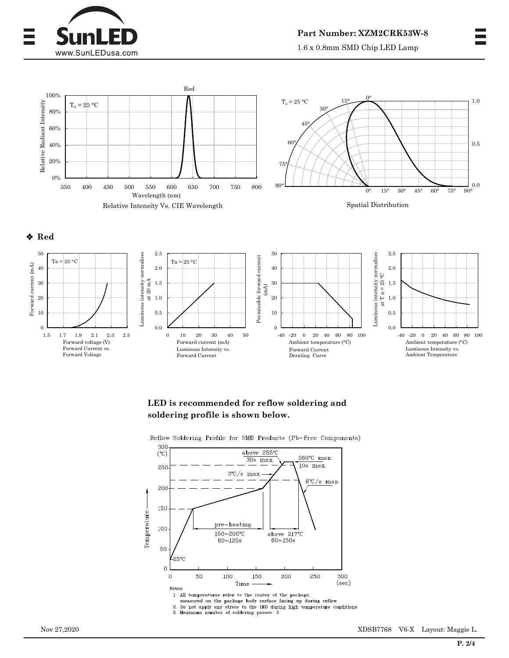

1.6 x 0.8mm SMD Chip LED Lamp







# **LED is recommended for reflow soldering and soldering profile is shown below.**

300 above 255°C  $(°C)$ 260°C max.  $30s$  max.  $\overline{10s \max}$ . 250  $3^{\circ}C/s$  max.  $6°C/s$  max. 200 150 Temperature pre-heating 100 150~200°C above 217°C  $60 \times 150$ s  $60 - 120s$ 50 25°C  $\mathbf 0$  $\mathbf 0$ 50 150 250 100 200 300 Time  $(sec)$ Notes: 1. All temperatures refer to the center of the package,

Reflow Soldering Profile for SMD Products (Pb-Free Components)

measured on the package body surface facing up during reflow.

2. Do not apply any stress to the LED during high temperature conditions.<br>3. Maximum number of soldering passes: 2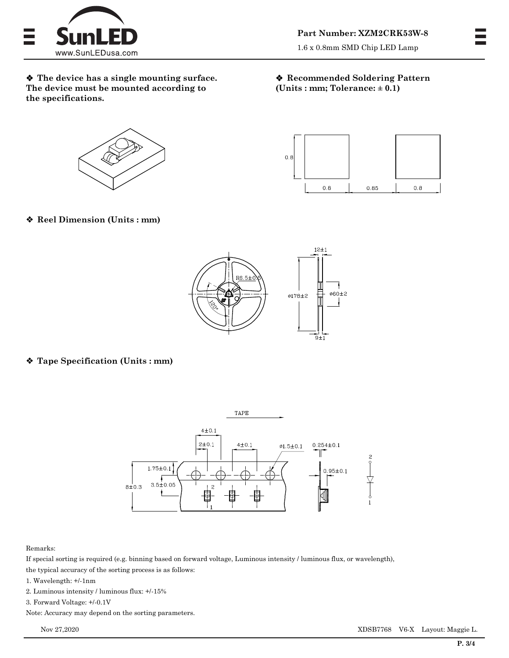

1.6 x 0.8mm SMD Chip LED Lamp

 **The device has a single mounting surface. The device must be mounted according to the specifications.** 

### **Recommended Soldering Pattern (Units : mm; Tolerance: ± 0.1)**





**Reel Dimension (Units : mm)** 



# **Tape Specification (Units : mm)**



#### Remarks:

If special sorting is required (e.g. binning based on forward voltage, Luminous intensity / luminous flux, or wavelength), the typical accuracy of the sorting process is as follows:

- 1. Wavelength: +/-1nm
- 2. Luminous intensity / luminous flux: +/-15%
- 3. Forward Voltage: +/-0.1V
- Note: Accuracy may depend on the sorting parameters.